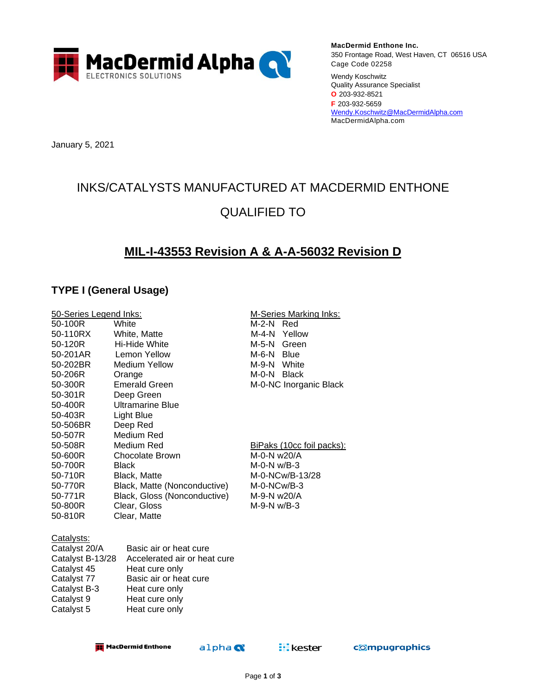

**MacDermid Enthone Inc.** 350 Frontage Road, West Haven, CT 06516 USA Cage Code 02258

Wendy Koschwitz Quality Assurance Specialist **O** 203-932-8521 **F** 203-932-5659 [Wendy.Koschwitz@MacDermidAlpha.com](mailto:Wendy.Koschwitz@MacDermidAlpha.com) MacDermidAlpha.com

January 5, 2021

# INKS/CATALYSTS MANUFACTURED AT MACDERMID ENTHONE QUALIFIED TO

## **MIL-I-43553 Revision A & A-A-56032 Revision D**

### **TYPE I (General Usage)**

| 50-Series Legend Inks: |                                                | <b>M-Series Marking Inks:</b>    |  |  |
|------------------------|------------------------------------------------|----------------------------------|--|--|
| 50-100R                | White<br>M-2-N<br>Red                          |                                  |  |  |
| 50-110RX               | White, Matte                                   | M-4-N Yellow                     |  |  |
| 50-120R                | Hi-Hide White                                  | M-5-N<br>Green                   |  |  |
| 50-201AR               | Lemon Yellow                                   | M-6-N<br><b>Blue</b>             |  |  |
| 50-202BR               | <b>Medium Yellow</b>                           | M-9-N White                      |  |  |
| 50-206R                | M-0-N Black<br>Orange                          |                                  |  |  |
| 50-300R                | <b>Emerald Green</b><br>M-0-NC Inorganic Black |                                  |  |  |
| 50-301R                | Deep Green                                     |                                  |  |  |
| 50-400R                | <b>Ultramarine Blue</b>                        |                                  |  |  |
| 50-403R                | Light Blue                                     |                                  |  |  |
| 50-506BR               | Deep Red                                       |                                  |  |  |
| 50-507R                | Medium Red                                     |                                  |  |  |
| 50-508R                | Medium Red                                     | <u>BiPaks (10cc foil packs):</u> |  |  |
| 50-600R                | Chocolate Brown                                | M-0-N w20/A                      |  |  |
| 50-700R                | <b>Black</b>                                   | $M-O-N$ w/B-3                    |  |  |
| 50-710R                | <b>Black, Matte</b>                            | M-0-NCw/B-13/28                  |  |  |
| 50-770R                | Black, Matte (Nonconductive)                   | M-0-NCw/B-3                      |  |  |
| 50-771R                | Black, Gloss (Nonconductive)                   | M-9-N w20/A                      |  |  |
| 50-800R                | Clear, Gloss                                   | $M-9-N$ w/B-3                    |  |  |
| 50-810R                | Clear, Matte                                   |                                  |  |  |
|                        |                                                |                                  |  |  |
| Catalysts:             |                                                |                                  |  |  |
| Catalyst 20/A          | Basic air or heat cure                         |                                  |  |  |
| Catalyst B-13/28       | Accelerated air or heat cure                   |                                  |  |  |
| Catalyst 45            | Heat cure only                                 |                                  |  |  |
| Catalyst 77            | Basic air or heat cure                         |                                  |  |  |
| Catalyst B-3           | Heat cure only                                 |                                  |  |  |
| Catalyst 9             | Heat cure only                                 |                                  |  |  |
| Catalyst 5             | Heat cure only                                 |                                  |  |  |
|                        |                                                |                                  |  |  |
|                        |                                                |                                  |  |  |

**HacDermid Enthone** 

```
alpha
```
**EL** kester

compugraphics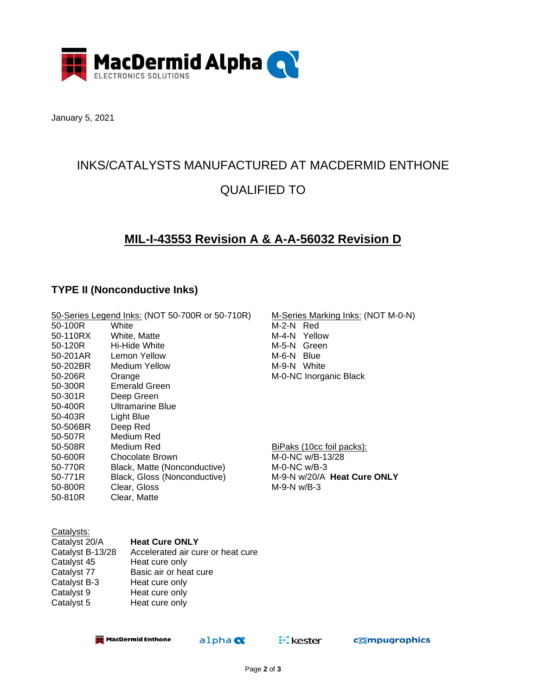

January 5, 2021

## INKS/CATALYSTS MANUFACTURED AT MACDERMID ENTHONE QUALIFIED TO

## **MIL-I-43553 Revision A & A-A-56032 Revision D**

### **TYPE II (Nonconductive Inks)**

| 50-100R<br>50-110RX<br>50-120R<br>50-201AR<br>50-202BR<br>50-206R<br>50-300R<br>50-301R<br>50-400R<br>50-403R<br>50-506BR<br>50-507R<br>50-508R<br>50-600R<br>50-770R | 50-Series Legend Inks: (NOT 50-700R or 50-710R)<br>White<br>White, Matte<br>Hi-Hide White<br>Lemon Yellow<br>Medium Yellow<br>Orange<br><b>Emerald Green</b><br>Deep Green<br>Ultramarine Blue<br>Light Blue<br>Deep Red<br>Medium Red<br>Medium Red<br>Chocolate Brown<br>Black, Matte (Nonconductive) | M-Series Marking Inks: (NOT M-0-N)<br>M-2-N Red<br>M-4-N<br>Yellow<br>M-5-N Green<br>M-6-N Blue<br>M-9-N White<br>M-0-NC Inorganic Black<br>BiPaks (10cc foil packs):<br>M-0-NC w/B-13/28<br>$M-O-NC$ w/B-3 |
|-----------------------------------------------------------------------------------------------------------------------------------------------------------------------|---------------------------------------------------------------------------------------------------------------------------------------------------------------------------------------------------------------------------------------------------------------------------------------------------------|-------------------------------------------------------------------------------------------------------------------------------------------------------------------------------------------------------------|
|                                                                                                                                                                       |                                                                                                                                                                                                                                                                                                         |                                                                                                                                                                                                             |
|                                                                                                                                                                       |                                                                                                                                                                                                                                                                                                         |                                                                                                                                                                                                             |
| 50-771R                                                                                                                                                               | Black, Gloss (Nonconductive)                                                                                                                                                                                                                                                                            | M-9-N w/20/A Heat Cure ONLY                                                                                                                                                                                 |
| 50-800R                                                                                                                                                               | Clear, Gloss                                                                                                                                                                                                                                                                                            | $M-9-N$ w/B-3                                                                                                                                                                                               |
| 50-810R                                                                                                                                                               | Clear, Matte                                                                                                                                                                                                                                                                                            |                                                                                                                                                                                                             |
|                                                                                                                                                                       |                                                                                                                                                                                                                                                                                                         |                                                                                                                                                                                                             |

#### Catalysts:

| Catalyst 20/A    | <b>Heat Cure ONLY</b>             |
|------------------|-----------------------------------|
| Catalyst B-13/28 | Accelerated air cure or heat cure |
| Catalyst 45      | Heat cure only                    |
| Catalyst 77      | Basic air or heat cure            |
| Catalyst B-3     | Heat cure only                    |
| Catalyst 9       | Heat cure only                    |
| Catalyst 5       | Heat cure only                    |

**HacDermid Enthone** 

```
alpha
```
**EL** kester

compugraphics